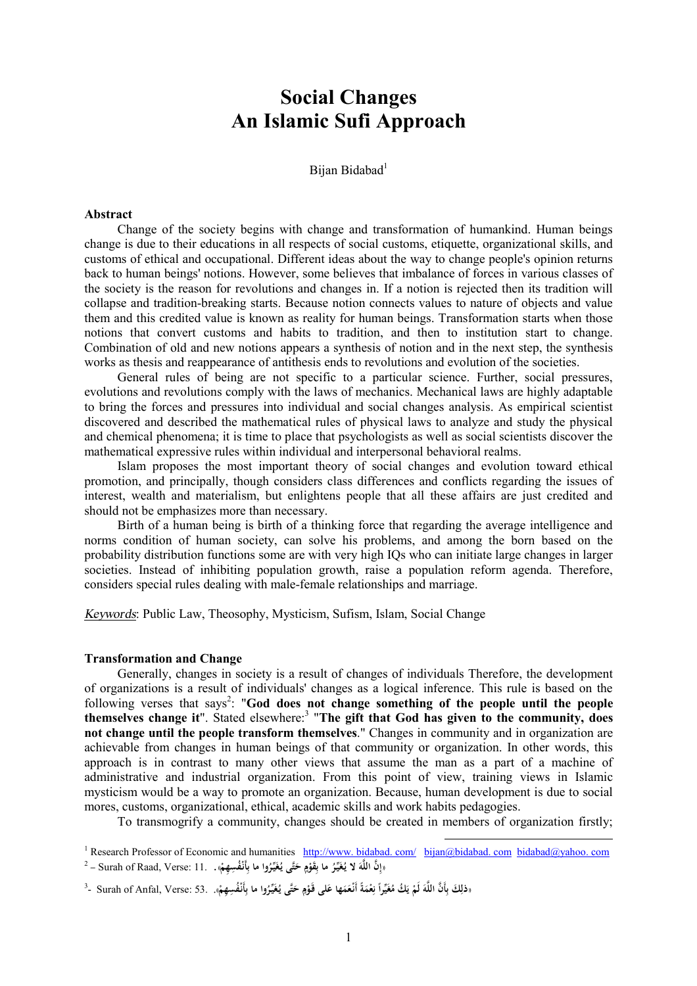# **Social Changes An Islamic Sufi Approach**

Bijan Bidabad $1$ 

#### **Abstract**

Change of the society begins with change and transformation of humankind. Human beings change is due to their educations in all respects of social customs, etiquette, organizational skills, and customs of ethical and occupational. Different ideas about the way to change people's opinion returns back to human beings' notions. However, some believes that imbalance of forces in various classes of the society is the reason for revolutions and changes in. If a notion is rejected then its tradition will collapse and tradition-breaking starts. Because notion connects values to nature of objects and value them and this credited value is known as reality for human beings. Transformation starts when those notions that convert customs and habits to tradition, and then to institution start to change. Combination of old and new notions appears a synthesis of notion and in the next step, the synthesis works as thesis and reappearance of antithesis ends to revolutions and evolution of the societies.

General rules of being are not specific to a particular science. Further, social pressures, evolutions and revolutions comply with the laws of mechanics. Mechanical laws are highly adaptable to bring the forces and pressures into individual and social changes analysis. As empirical scientist discovered and described the mathematical rules of physical laws to analyze and study the physical and chemical phenomena; it is time to place that psychologists as well as social scientists discover the mathematical expressive rules within individual and interpersonal behavioral realms.

Islam proposes the most important theory of social changes and evolution toward ethical promotion, and principally, though considers class differences and conflicts regarding the issues of interest, wealth and materialism, but enlightens people that all these affairs are just credited and should not be emphasizes more than necessary.

Birth of a human being is birth of a thinking force that regarding the average intelligence and norms condition of human society, can solve his problems, and among the born based on the probability distribution functions some are with very high IQs who can initiate large changes in larger societies. Instead of inhibiting population growth, raise a population reform agenda. Therefore, considers special rules dealing with male-female relationships and marriage.

*Keywords*: Public Law, Theosophy, Mysticism, Sufism, Islam, Social Change

### **Transformation and Change**

Generally, changes in society is a result of changes of individuals Therefore, the development of organizations is a result of individuals' changes as a logical inference. This rule is based on the following verses that says<sup>2</sup>: "God does not change something of the people until the people **themselves change it**". Stated elsewhere:<sup>3</sup> "**The gift that God has given to the community, does not change until the people transform themselves**." Changes in community and in organization are achievable from changes in human beings of that community or organization. In other words, this approach is in contrast to many other views that assume the man as a part of a machine of administrative and industrial organization. From this point of view, training views in Islamic mysticism would be a way to promote an organization. Because, human development is due to social mores, customs, organizational, ethical, academic skills and work habits pedagogies.

To transmogrify a community, changes should be created in members of organization firstly;

 $\overline{a}$ 

<sup>1</sup> Research Professor of Economic and humanities http://www. bidabad. com/ bijan@bidabad. com bidabad@yahoo. com  $^2$  – Surah of Raad, Verse: 11. . وَأَنْفُسِهِمْ». . [1] - Surah of Raad, Verse: 11 –  $^2$ **ْ ِ ٍ ْ ِ**

دْلِكَ بِأَنَّ اللَّهَ لَمْ يَكُ مُغَيِّراً نِعْمَةً أَنْعَمَها عَلى قَوْمٍ حَتَّى يُغَيِّرُوا ما بِأَنْفُسِهِمْ». Surah of Anfal, Verse: 53. .«فَلِكَ بِأَنَّ اللَّهَ لَمْ يَسْتَمَعُوا أَنْفُسِهِمْ». **َ َ َ ِ َ ي ْ َ ِ ِ ْ ِ َ ٍ ْ**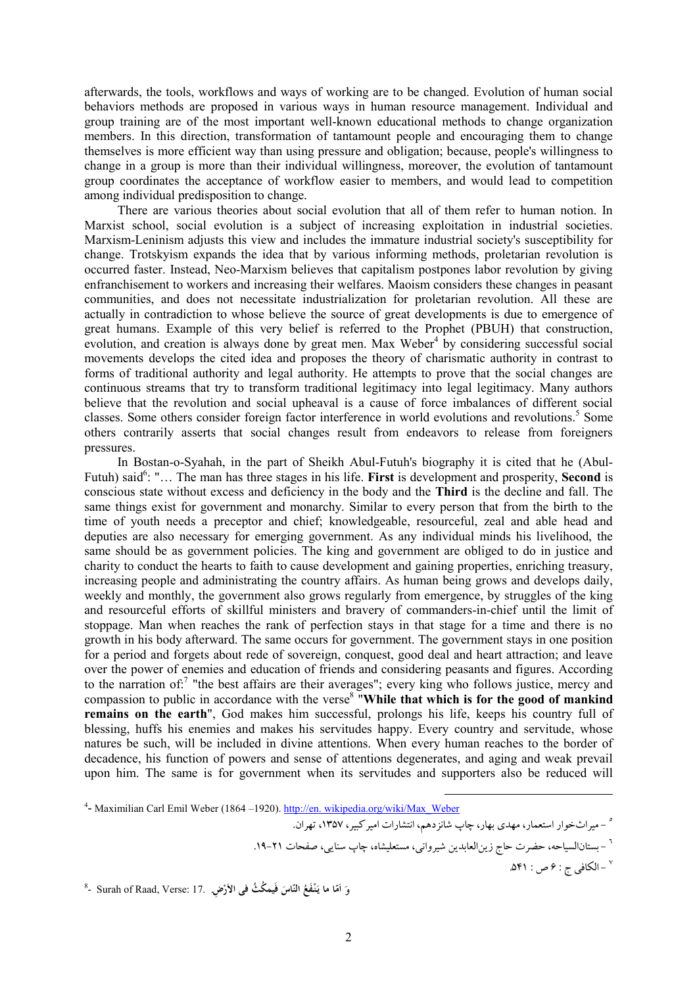afterwards, the tools, workflows and ways of working are to be changed. Evolution of human social behaviors methods are proposed in various ways in human resource management. Individual and group training are of the most important well-known educational methods to change organization members. In this direction, transformation of tantamount people and encouraging them to change themselves is more efficient way than using pressure and obligation; because, people's willingness to change in a group is more than their individual willingness, moreover, the evolution of tantamount group coordinates the acceptance of workflow easier to members, and would lead to competition among individual predisposition to change.

There are various theories about social evolution that all of them refer to human notion. In Marxist school, social evolution is a subject of increasing exploitation in industrial societies. Marxism-Leninism adjusts this view and includes the immature industrial society's susceptibility for change. Trotskyism expands the idea that by various informing methods, proletarian revolution is occurred faster. Instead, Neo-Marxism believes that capitalism postpones labor revolution by giving enfranchisement to workers and increasing their welfares. Maoism considers these changes in peasant communities, and does not necessitate industrialization for proletarian revolution. All these are actually in contradiction to whose believe the source of great developments is due to emergence of great humans. Example of this very belief is referred to the Prophet (PBUH) that construction, evolution, and creation is always done by great men. Max Weber<sup>4</sup> by considering successful social movements develops the cited idea and proposes the theory of charismatic authority in contrast to forms of traditional authority and legal authority. He attempts to prove that the social changes are continuous streams that try to transform traditional legitimacy into legal legitimacy. Many authors believe that the revolution and social upheaval is a cause of force imbalances of different social classes. Some others consider foreign factor interference in world evolutions and revolutions.<sup>5</sup> Some others contrarily asserts that social changes result from endeavors to release from foreigners pressures.

In Bostan-o-Syahah, in the part of Sheikh Abul-Futuh's biography it is cited that he (Abul-Futuh) said<sup>6</sup>: "... The man has three stages in his life. First is development and prosperity, **Second** is conscious state without excess and deficiency in the body and the **Third** is the decline and fall. The same things exist for government and monarchy. Similar to every person that from the birth to the time of youth needs a preceptor and chief; knowledgeable, resourceful, zeal and able head and deputies are also necessary for emerging government. As any individual minds his livelihood, the same should be as government policies. The king and government are obliged to do in justice and charity to conduct the hearts to faith to cause development and gaining properties, enriching treasury, increasing people and administrating the country affairs. As human being grows and develops daily, weekly and monthly, the government also grows regularly from emergence, by struggles of the king and resourceful efforts of skillful ministers and bravery of commanders-in-chief until the limit of stoppage. Man when reaches the rank of perfection stays in that stage for a time and there is no growth in his body afterward. The same occurs for government. The government stays in one position for a period and forgets about rede of sovereign, conquest, good deal and heart attraction; and leave over the power of enemies and education of friends and considering peasants and figures. According to the narration of:<sup>7</sup> "the best affairs are their averages"; every king who follows justice, mercy and compassion to public in accordance with the verse<sup>8</sup> "While that which is for the good of mankind **remains on the earth**", God makes him successful, prolongs his life, keeps his country full of blessing, huffs his enemies and makes his servitudes happy. Every country and servitude, whose natures be such, will be included in divine attentions. When every human reaches to the border of decadence, his function of powers and sense of attentions degenerates, and aging and weak prevail upon him. The same is for government when its servitudes and supporters also be reduced will

 $\overline{a}$ 

<sup>٧</sup> –الکافي ج : ۶ ص : ۵۴۱.

وَ اَمّا ما يَنْفَعُ النّاسَ فَيمكُثُ فى الأرْضِ. Surah of Raad, Verse: 17 -  $^8$ **َ َ**

<sup>&</sup>lt;sup>4</sup> Maximilian Carl Emil Weber (1864 –1920). http://en. wikipedia.org/wiki/Max\_Weber

٥ - میراثخوار استعمار، مهدي بهار، چاپ شانزدهم، انتشارات امیرکبیر، ،1357 تهران.

٦ - بستانالسیاحه، حضرت حاج زینالعابدین شیروانی، مستعلیشاه، چاپ سنایی، صفحات .19-21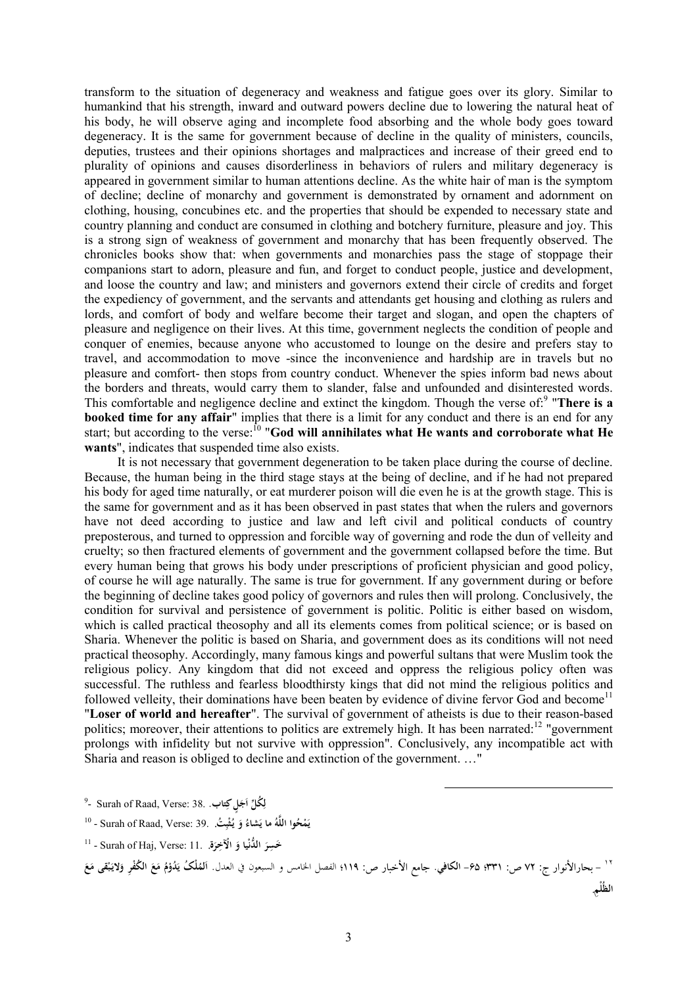transform to the situation of degeneracy and weakness and fatigue goes over its glory. Similar to humankind that his strength, inward and outward powers decline due to lowering the natural heat of his body, he will observe aging and incomplete food absorbing and the whole body goes toward degeneracy. It is the same for government because of decline in the quality of ministers, councils, deputies, trustees and their opinions shortages and malpractices and increase of their greed end to plurality of opinions and causes disorderliness in behaviors of rulers and military degeneracy is appeared in government similar to human attentions decline. As the white hair of man is the symptom of decline; decline of monarchy and government is demonstrated by ornament and adornment on clothing, housing, concubines etc. and the properties that should be expended to necessary state and country planning and conduct are consumed in clothing and botchery furniture, pleasure and joy. This is a strong sign of weakness of government and monarchy that has been frequently observed. The chronicles books show that: when governments and monarchies pass the stage of stoppage their companions start to adorn, pleasure and fun, and forget to conduct people, justice and development, and loose the country and law; and ministers and governors extend their circle of credits and forget the expediency of government, and the servants and attendants get housing and clothing as rulers and lords, and comfort of body and welfare become their target and slogan, and open the chapters of pleasure and negligence on their lives. At this time, government neglects the condition of people and conquer of enemies, because anyone who accustomed to lounge on the desire and prefers stay to travel, and accommodation to move -since the inconvenience and hardship are in travels but no pleasure and comfort- then stops from country conduct. Whenever the spies inform bad news about the borders and threats, would carry them to slander, false and unfounded and disinterested words. This comfortable and negligence decline and extinct the kingdom. Though the verse of:<sup>9</sup> "There is a **booked time for any affair**" implies that there is a limit for any conduct and there is an end for any start; but according to the verse: <sup>10</sup> "**God will annihilates what He wants and corroborate what He wants**", indicates that suspended time also exists.

It is not necessary that government degeneration to be taken place during the course of decline. Because, the human being in the third stage stays at the being of decline, and if he had not prepared his body for aged time naturally, or eat murderer poison will die even he is at the growth stage. This is the same for government and as it has been observed in past states that when the rulers and governors have not deed according to justice and law and left civil and political conducts of country preposterous, and turned to oppression and forcible way of governing and rode the dun of velleity and cruelty; so then fractured elements of government and the government collapsed before the time. But every human being that grows his body under prescriptions of proficient physician and good policy, of course he will age naturally. The same is true for government. If any government during or before the beginning of decline takes good policy of governors and rules then will prolong. Conclusively, the condition for survival and persistence of government is politic. Politic is either based on wisdom, which is called practical theosophy and all its elements comes from political science; or is based on Sharia. Whenever the politic is based on Sharia, and government does as its conditions will not need practical theosophy. Accordingly, many famous kings and powerful sultans that were Muslim took the religious policy. Any kingdom that did not exceed and oppress the religious policy often was successful. The ruthless and fearless bloodthirsty kings that did not mind the religious politics and followed velleity, their dominations have been beaten by evidence of divine fervor God and become<sup>11</sup> "**Loser of world and hereafter**". The survival of government of atheists is due to their reason-based politics; moreover, their attentions to politics are extremely high. It has been narrated:<sup>12</sup> "government" prolongs with infidelity but not survive with oppression". Conclusively, any incompatible act with Sharia and reason is obliged to decline and extinction of the government. …"

9 - Surah of Raad, Verse: 38. **تابِلکٍ َج ُک ِّل ا ل . َ ِ**

<sup>١٢</sup> – بحارالأنوار ج: ٧٢ ص: ٣٣١؛ ۶۵– الكافي. جامع الأخبار ص: ١١٩؛ الفصل الخامس و السبعون في العدل. المُلْكُ يَدُوْمُ مَعَ الكُفْرِ وَلايَبْقى مَعَ **ْ َ َ ْ ا الظُلْ** . **ِم**

 $\overline{a}$ 

<sup>10</sup> - Surah of Raad, Verse: 39. **تُ ب ث ُ يـ و ُ َشاء ما ي ُ ه وا اللَّ ُ ْح م ي** . **ِ ْ َ َ**

<sup>11</sup> - Surah of Haj, Verse: 11. **ة ر ْالآخِ ْيا و ال ُّدن َخ ِسر** . **َ َ َ**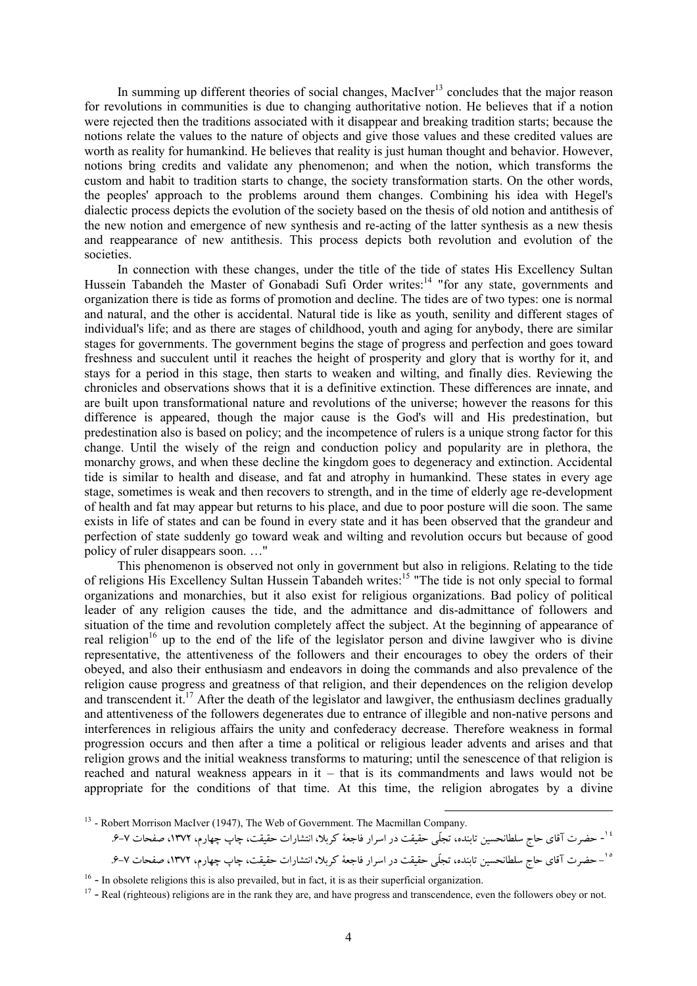In summing up different theories of social changes, MacIver<sup>13</sup> concludes that the major reason for revolutions in communities is due to changing authoritative notion. He believes that if a notion were rejected then the traditions associated with it disappear and breaking tradition starts; because the notions relate the values to the nature of objects and give those values and these credited values are worth as reality for humankind. He believes that reality is just human thought and behavior. However, notions bring credits and validate any phenomenon; and when the notion, which transforms the custom and habit to tradition starts to change, the society transformation starts. On the other words, the peoples' approach to the problems around them changes. Combining his idea with Hegel's dialectic process depicts the evolution of the society based on the thesis of old notion and antithesis of the new notion and emergence of new synthesis and re-acting of the latter synthesis as a new thesis and reappearance of new antithesis. This process depicts both revolution and evolution of the societies.

In connection with these changes, under the title of the tide of states His Excellency Sultan Hussein Tabandeh the Master of Gonabadi Sufi Order writes:<sup>14</sup> "for any state, governments and organization there is tide as forms of promotion and decline. The tides are of two types: one is normal and natural, and the other is accidental. Natural tide is like as youth, senility and different stages of individual's life; and as there are stages of childhood, youth and aging for anybody, there are similar stages for governments. The government begins the stage of progress and perfection and goes toward freshness and succulent until it reaches the height of prosperity and glory that is worthy for it, and stays for a period in this stage, then starts to weaken and wilting, and finally dies. Reviewing the chronicles and observations shows that it is a definitive extinction. These differences are innate, and are built upon transformational nature and revolutions of the universe; however the reasons for this difference is appeared, though the major cause is the God's will and His predestination, but predestination also is based on policy; and the incompetence of rulers is a unique strong factor for this change. Until the wisely of the reign and conduction policy and popularity are in plethora, the monarchy grows, and when these decline the kingdom goes to degeneracy and extinction. Accidental tide is similar to health and disease, and fat and atrophy in humankind. These states in every age stage, sometimes is weak and then recovers to strength, and in the time of elderly age re-development of health and fat may appear but returns to his place, and due to poor posture will die soon. The same exists in life of states and can be found in every state and it has been observed that the grandeur and perfection of state suddenly go toward weak and wilting and revolution occurs but because of good policy of ruler disappears soon. …"

This phenomenon is observed not only in government but also in religions. Relating to the tide of religions His Excellency Sultan Hussein Tabandeh writes: <sup>15</sup> "The tide is not only special to formal organizations and monarchies, but it also exist for religious organizations. Bad policy of political leader of any religion causes the tide, and the admittance and dis-admittance of followers and situation of the time and revolution completely affect the subject. At the beginning of appearance of real religion<sup>16</sup> up to the end of the life of the legislator person and divine lawgiver who is divine representative, the attentiveness of the followers and their encourages to obey the orders of their obeyed, and also their enthusiasm and endeavors in doing the commands and also prevalence of the religion cause progress and greatness of that religion, and their dependences on the religion develop and transcendent it.<sup>17</sup> After the death of the legislator and lawgiver, the enthusiasm declines gradually and attentiveness of the followers degenerates due to entrance of illegible and non-native persons and interferences in religious affairs the unity and confederacy decrease. Therefore weakness in formal progression occurs and then after a time a political or religious leader advents and arises and that religion grows and the initial weakness transforms to maturing; until the senescence of that religion is reached and natural weakness appears in it – that is its commandments and laws would not be appropriate for the conditions of that time. At this time, the religion abrogates by a divine

<sup>13</sup> - Robert Morrison MacIver (1947), The Web of Government. The Macmillan Company.

١٤ - حضرت آقاي حاج سلطانحسین تابنده، تجلّی حقیقت در اسرار فاجعۀ کربلا، انتشارات حقیقت، چاپ چهارم، ،1372 صفحات .6-7 ١٥ - حضرت آقاي حاج سلطانحسین تابنده، تجلّی حقیقت در اسرار فاجعۀ کربلا، انتشارات حقیقت، چاپ چهارم، ،1372 صفحات -7 .6

l

<sup>&</sup>lt;sup>16</sup> - In obsolete religions this is also prevailed, but in fact, it is as their superficial organization.

<sup>&</sup>lt;sup>17</sup> - Real (righteous) religions are in the rank they are, and have progress and transcendence, even the followers obey or not.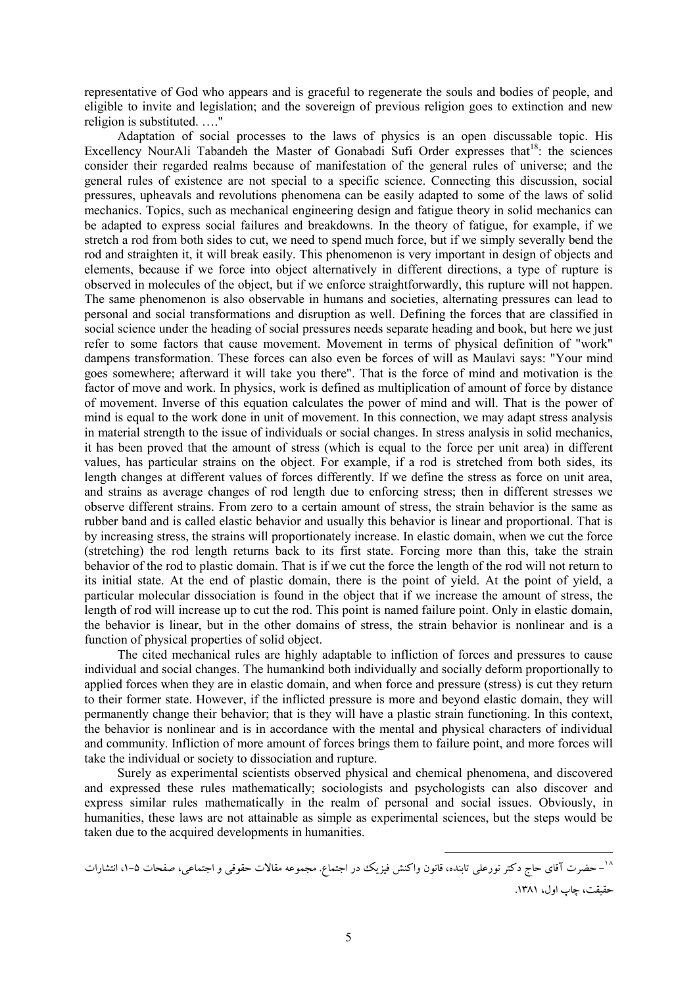representative of God who appears and is graceful to regenerate the souls and bodies of people, and eligible to invite and legislation; and the sovereign of previous religion goes to extinction and new religion is substituted. …."

Adaptation of social processes to the laws of physics is an open discussable topic. His Excellency NourAli Tabandeh the Master of Gonabadi Sufi Order expresses that <sup>18</sup>: the sciences consider their regarded realms because of manifestation of the general rules of universe; and the general rules of existence are not special to a specific science. Connecting this discussion, social pressures, upheavals and revolutions phenomena can be easily adapted to some of the laws of solid mechanics. Topics, such as mechanical engineering design and fatigue theory in solid mechanics can be adapted to express social failures and breakdowns. In the theory of fatigue, for example, if we stretch a rod from both sides to cut, we need to spend much force, but if we simply severally bend the rod and straighten it, it will break easily. This phenomenon is very important in design of objects and elements, because if we force into object alternatively in different directions, a type of rupture is observed in molecules of the object, but if we enforce straightforwardly, this rupture will not happen. The same phenomenon is also observable in humans and societies, alternating pressures can lead to personal and social transformations and disruption as well. Defining the forces that are classified in social science under the heading of social pressures needs separate heading and book, but here we just refer to some factors that cause movement. Movement in terms of physical definition of "work" dampens transformation. These forces can also even be forces of will as Maulavi says: "Your mind goes somewhere; afterward it will take you there". That is the force of mind and motivation is the factor of move and work. In physics, work is defined as multiplication of amount of force by distance of movement. Inverse of this equation calculates the power of mind and will. That is the power of mind is equal to the work done in unit of movement. In this connection, we may adapt stress analysis in material strength to the issue of individuals or social changes. In stress analysis in solid mechanics, it has been proved that the amount of stress (which is equal to the force per unit area) in different values, has particular strains on the object. For example, if a rod is stretched from both sides, its length changes at different values of forces differently. If we define the stress as force on unit area, and strains as average changes of rod length due to enforcing stress; then in different stresses we observe different strains. From zero to a certain amount of stress, the strain behavior is the same as rubber band and is called elastic behavior and usually this behavior is linear and proportional. That is by increasing stress, the strains will proportionately increase. In elastic domain, when we cut the force (stretching) the rod length returns back to its first state. Forcing more than this, take the strain behavior of the rod to plastic domain. That is if we cut the force the length of the rod will not return to its initial state. At the end of plastic domain, there is the point of yield. At the point of yield, a particular molecular dissociation is found in the object that if we increase the amount of stress, the length of rod will increase up to cut the rod. This point is named failure point. Only in elastic domain, the behavior is linear, but in the other domains of stress, the strain behavior is nonlinear and is a function of physical properties of solid object.

The cited mechanical rules are highly adaptable to infliction of forces and pressures to cause individual and social changes. The humankind both individually and socially deform proportionally to applied forces when they are in elastic domain, and when force and pressure (stress) is cut they return to their former state. However, if the inflicted pressure is more and beyond elastic domain, they will permanently change their behavior; that is they will have a plastic strain functioning. In this context, the behavior is nonlinear and is in accordance with the mental and physical characters of individual and community. Infliction of more amount of forces brings them to failure point, and more forces will take the individual or society to dissociation and rupture.

Surely as experimental scientists observed physical and chemical phenomena, and discovered and expressed these rules mathematically; sociologists and psychologists can also discover and express similar rules mathematically in the realm of personal and social issues. Obviously, in humanities, these laws are not attainable as simple as experimental sciences, but the steps would be taken due to the acquired developments in humanities.

 $\overline{a}$ 

<sup>&</sup>lt;sup>۱۸</sup>– حضرت آقای حاج دکتر نورعلی تابنده، قانون واکنش فیزیک در اجتماع. مجموعه مقالات حقوقی و اجتماعی، صفحات ۵–۱، انتشارات حقیقت، چاپ اول، .1381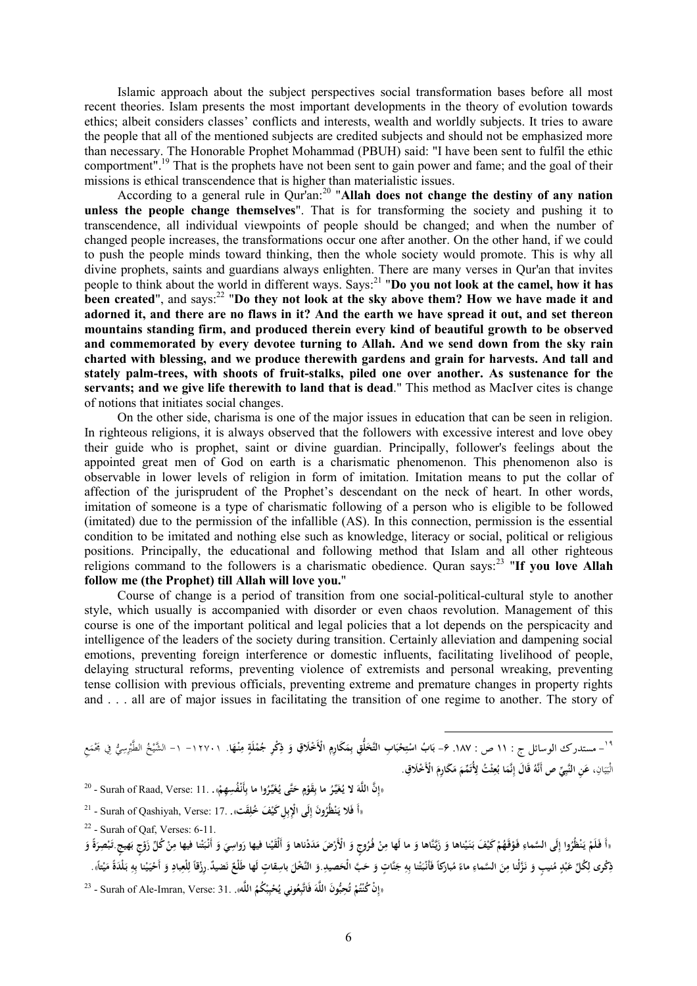Islamic approach about the subject perspectives social transformation bases before all most recent theories. Islam presents the most important developments in the theory of evolution towards ethics; albeit considers classes' conflicts and interests, wealth and worldly subjects. It tries to aware the people that all of the mentioned subjects are credited subjects and should not be emphasized more than necessary. The Honorable Prophet Mohammad (PBUH) said: "I have been sent to fulfil the ethic comportment".<sup>19</sup> That is the prophets have not been sent to gain power and fame; and the goal of their missions is ethical transcendence that is higher than materialistic issues.

According to a general rule in Qur'an:<sup>20</sup> "**Allah does not change the destiny of any nation unless the people change themselves**". That is for transforming the society and pushing it to transcendence, all individual viewpoints of people should be changed; and when the number of changed people increases, the transformations occur one after another. On the other hand, if we could to push the people minds toward thinking, then the whole society would promote. This is why all divine prophets, saints and guardians always enlighten. There are many verses in Qur'an that invites people to think about the world in different ways. Says:<sup>21</sup> "**Do you not look at the camel, how it has been created**", and says:<sup>22</sup> "**Do they not look at the sky above them? How we have made it and**  adorned it, and there are no flaws in it? And the earth we have spread it out, and set thereon **mountains standing firm, and produced therein every kind of beautiful growth to be observed and commemorated by every devotee turning to Allah. And we send down from the sky rain charted with blessing, and we produce therewith gardens and grain for harvests. And tall and stately palm-trees, with shoots of fruit-stalks, piled one over another. As sustenance for the servants; and we give life therewith to land that is dead**." This method as MacIver cites is change of notions that initiates social changes.

On the other side, charisma is one of the major issues in education that can be seen in religion. In righteous religions, it is always observed that the followers with excessive interest and love obey their guide who is prophet, saint or divine guardian. Principally, follower's feelings about the appointed great men of God on earth is a charismatic phenomenon. This phenomenon also is observable in lower levels of religion in form of imitation. Imitation means to put the collar of affection of the jurisprudent of the Prophet's descendant on the neck of heart. In other words, imitation of someone is a type of charismatic following of a person who is eligible to be followed (imitated) due to the permission of the infallible (AS). In this connection, permission is the essential condition to be imitated and nothing else such as knowledge, literacy or social, political or religious positions. Principally, the educational and following method that Islam and all other righteous religions command to the followers is a charismatic obedience. Quran says:<sup>23</sup> "**If you love Allah follow me (the Prophet) till Allah will love you.**"

Course of change is a period of transition from one social-political-cultural style to another style, which usually is accompanied with disorder or even chaos revolution. Management of this course is one of the important political and legal policies that a lot depends on the perspicacity and intelligence of the leaders of the society during transition. Certainly alleviation and dampening social emotions, preventing foreign interference or domestic influents, facilitating livelihood of people, delaying structural reforms, preventing violence of extremists and personal wreaking, preventing tense collision with previous officials, preventing extreme and premature changes in property rights and . . . all are of major issues in facilitating the transition of one regime to another. The story of

١٩ **َ** - مستدرك الوسائل ج : 11 ص : .187 -6 **ا. ْه ِنـ م ٍ لَة ْ م ُ ْك ِر ج ذِ َ ْخَلا ِق و ْالأَ ِ َك ِارم َ ِم َخلُِّق ب ِ اب التَّ َ ْحب ِ ت ْ اب اس ُ َ ب** -۱۲۷۰۱ -۱ ِع َ ِفي َمجْم ُّ ي ِسِ ْ الطَّبر ُ ْخ ال َّشي ، انِ َ ي َ **ْخَلا ِق** الْب **. ْالأَ َ َك ِارم َ م َ َِّمم ُت ْ ُت لأِ ث ِ ع ُ ا ب َ نَّم ِ قَ َ ال إ ُ ِّي ص أَنَّه ِ ِن النَّب َ ع** 

l

اإِنَّ اللَّهَ لا يُغَيِّرُ ما بِقَوْمٍ حَتَّى يُغَيِّرُوا ما بِأَنْفُسِهِمْ». . Surah of Raad, Verse: 11 - <sup>20</sup> **ْ ِ َ ٍ ْ ِ**

- 21 Surah of Qashiyah, Verse: 17. **قتَ**« **ْ َف ُخل ِل َكي لَى ْالإِ َون إ ُ ْظُر ن أَ فَلا يـ** ». **ِ ِ ب ِ َ**
- $22$  Surah of Qaf, Verses: 6-11.
- «أَ فَلَمْ يَنْظُرُوا إِلَى السَّماءِ فَوْقَهُمْ كَيْفَ بَنَيْناها وَ زَيَّنَّاها وَ ما لَها مِنْ فُرُوجٍ وَ الْأَرْضَ مَدَدْناها وَ أَلْقَيْنا فيها رَواسِيَ وَ أَنْبَتْنا فيها مِنْ كُلِّ زَوْجٍ بَهيجِ.تَبْصِرَةً وَ **َ ْ ِ َ َ ْ َ َ ْ ْ ِ ِ َ ْ ْ َ َ َ ْ َ َ ْ ْ ِ ْ َ َ َ َ** ذِكْرى لِكُلِّ عَبْدٍ مُنيبٍ وَ نَزَّلْنا مِنَ السَّماءِ ماءً مُبارَكاً فَأَنْبَتْنا بِهِ جَنَّاتٍ وَ حَبَّ الْحَصيدِ.وَ النَّخْلَ باسِقاتٍ لَها طَلْعٌ نَضيةٌ.رزْقاً لِلْعِبادِ وَ أَحْيَيْنا بِهِ بَلْدَةً مَيْتاً». **ِ َ َ َ َ ِ ِ ْ َ َ ً َ ِ َ َ ِ ل َ ِ ل ً ن ْ َ َ ِ ْ َ ْ**
- «إِنْ كُنْتُمْ تُحِبُّونَ اللَّهَ فَاتَّبِعُونِي يُحْبِبْكُمُ اللَّه». [31 :Surah of Ale-Imran, Verse <sup>23</sup> **ِ َ ت ْ ْ ْ ِ**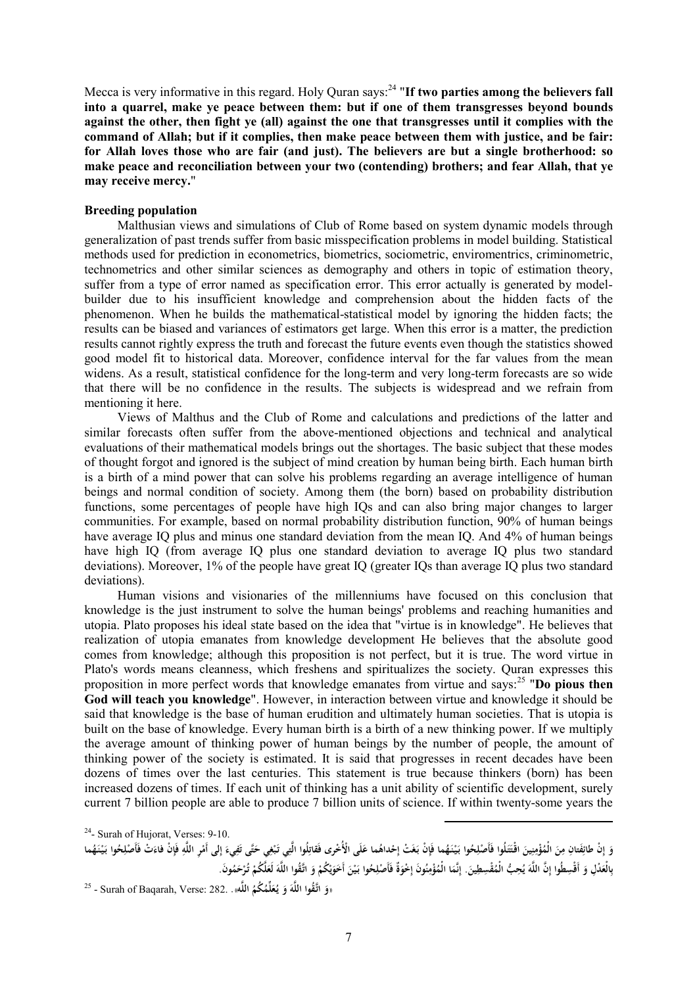Mecca is very informative in this regard. Holy Quran says: <sup>24</sup> "**If two parties among the believers fall into a quarrel, make ye peace between them: but if one of them transgresses beyond bounds against the other, then fight ye (all) against the one that transgresses until it complies with the command of Allah; but if it complies, then make peace between them with justice, and be fair: for Allah loves those who are fair (and just). The believers are but a single brotherhood: so make peace and reconciliation between your two (contending) brothers; and fear Allah, that ye may receive mercy.**"

## **Breeding population**

Malthusian views and simulations of Club of Rome based on system dynamic models through generalization of past trends suffer from basic misspecification problems in model building. Statistical methods used for prediction in econometrics, biometrics, sociometric, enviromentrics, criminometric, technometrics and other similar sciences as demography and others in topic of estimation theory, suffer from a type of error named as specification error. This error actually is generated by modelbuilder due to his insufficient knowledge and comprehension about the hidden facts of the phenomenon. When he builds the mathematical-statistical model by ignoring the hidden facts; the results can be biased and variances of estimators get large. When this error is a matter, the prediction results cannot rightly express the truth and forecast the future events even though the statistics showed good model fit to historical data. Moreover, confidence interval for the far values from the mean widens. As a result, statistical confidence for the long-term and very long-term forecasts are so wide that there will be no confidence in the results. The subjects is widespread and we refrain from mentioning it here.

Views of Malthus and the Club of Rome and calculations and predictions of the latter and similar forecasts often suffer from the above-mentioned objections and technical and analytical evaluations of their mathematical models brings out the shortages. The basic subject that these modes of thought forgot and ignored is the subject of mind creation by human being birth. Each human birth is a birth of a mind power that can solve his problems regarding an average intelligence of human beings and normal condition of society. Among them (the born) based on probability distribution functions, some percentages of people have high IQs and can also bring major changes to larger communities. For example, based on normal probability distribution function, 90% of human beings have average IO plus and minus one standard deviation from the mean IO. And 4% of human beings have high IQ (from average IQ plus one standard deviation to average IQ plus two standard deviations). Moreover, 1% of the people have great IQ (greater IQs than average IQ plus two standard deviations).

Human visions and visionaries of the millenniums have focused on this conclusion that knowledge is the just instrument to solve the human beings' problems and reaching humanities and utopia. Plato proposes his ideal state based on the idea that "virtue is in knowledge". He believes that realization of utopia emanates from knowledge development He believes that the absolute good comes from knowledge; although this proposition is not perfect, but it is true. The word virtue in Plato's words means cleanness, which freshens and spiritualizes the society. Quran expresses this proposition in more perfect words that knowledge emanates from virtue and says:<sup>25</sup> "**Do pious then God will teach you knowledge**". However, in interaction between virtue and knowledge it should be said that knowledge is the base of human erudition and ultimately human societies. That is utopia is built on the base of knowledge. Every human birth is a birth of a new thinking power. If we multiply the average amount of thinking power of human beings by the number of people, the amount of thinking power of the society is estimated. It is said that progresses in recent decades have been dozens of times over the last centuries. This statement is true because thinkers (born) has been increased dozens of times. If each unit of thinking has a unit ability of scientific development, surely current 7 billion people are able to produce 7 billion units of science. If within twenty-some years the

<sup>24</sup>- Surah of Hujorat, Verses: 9-10.

وَ إِنْ طائِفَتانِ مِنَ الْمُؤْمِنِينَ اقْتَتَلُوا فَأَصْلِحُوا بَيْنَهُما فَإِنْ بَغَتْ إِحْداهُما عَلَى الْأُخْرى فَقاتِلُوا الَّتِي تَبْغِي حَتَّى تَفِيءَ إِلى أَمْرِ اللَّهِ فَإِنْ فَاعَتْ فَأَصْلِحُوا بَيْنَهُما **ْ َ ِ َ َ َ ِ َ ِ ِ ِ إ َ َ ِ َ ِ ْ َ ِ إ َ ْ َ ِ َ ِ ِ ْ َ** بِالْعَدْلِ وَ أَقْسِطُوا إِنَّ اللَّهَ يُحِبُّ الْمُقْسِطِينَ. إِنَّمَا الْمُؤْمِنُونَ إِحْوَةٌ فَأَصْلِحُوا بَيْنَ أَحَوَيْكُمْ وَ اتَّقُوا اللَّهَ لَعَلَّكُمْ تُرْحَمُونَ. **ي َ َ ْ َ ِ َ ِ ِ َ ِ َ ْ َ َ َ ْ ْ ي َ َ**

 $\overline{a}$ 

25 - Surah of Baqarah, Verse: 282. **ه**« **اللَّ ُ ُكم ُ لِّم ع ُ يـ َ و ه ُقوا اللَّ اتَّـ و** »**.َ َ َ**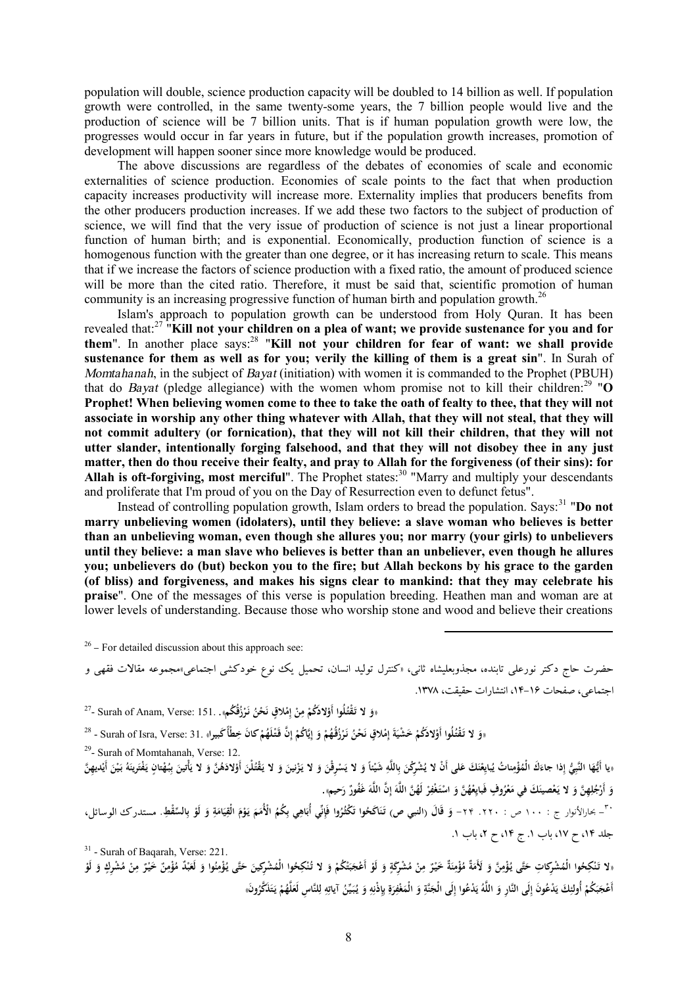population will double, science production capacity will be doubled to 14 billion as well. If population growth were controlled, in the same twenty-some years, the 7 billion people would live and the production of science will be 7 billion units. That is if human population growth were low, the progresses would occur in far years in future, but if the population growth increases, promotion of development will happen sooner since more knowledge would be produced.

The above discussions are regardless of the debates of economies of scale and economic externalities of science production. Economies of scale points to the fact that when production capacity increases productivity will increase more. Externality implies that producers benefits from the other producers production increases. If we add these two factors to the subject of production of science, we will find that the very issue of production of science is not just a linear proportional function of human birth; and is exponential. Economically, production function of science is a homogenous function with the greater than one degree, or it has increasing return to scale. This means that if we increase the factors of science production with a fixed ratio, the amount of produced science will be more than the cited ratio. Therefore, it must be said that, scientific promotion of human community is an increasing progressive function of human birth and population growth.<sup>26</sup>

Islam's approach to population growth can be understood from Holy Quran. It has been revealed that:<sup>27</sup> "**Kill not your children on a plea of want; we provide sustenance for you and for them**". In another place says:<sup>28</sup> "**Kill not your children for fear of want: we shall provide sustenance for them as well as for you; verily the killing of them is a great sin**". In Surah of *Momtahanah*, in the subject of *Bayat* (initiation) with women it is commanded to the Prophet (PBUH) that do *Bayat* (pledge allegiance) with the women whom promise not to kill their children:<sup>29</sup> " $\overline{O}$ **Prophet! When believing women come to thee to take the oath of fealty to thee, that they will not associate in worship any other thing whatever with Allah, that they will not steal, that they will not commit adultery (or fornication), that they will not kill their children, that they will not utter slander, intentionally forging falsehood, and that they will not disobey thee in any just matter, then do thou receive their fealty, and pray to Allah for the forgiveness (of their sins): for**  Allah is oft-forgiving, most merciful". The Prophet states:<sup>30</sup> "Marry and multiply your descendants and proliferate that I'm proud of you on the Day of Resurrection even to defunct fetus".

Instead of controlling population growth, Islam orders to bread the population. Says:<sup>31</sup> "Do not **marry unbelieving women (idolaters), until they believe: a slave woman who believes is better than an unbelieving woman, even though she allures you; nor marry (your girls) to unbelievers until they believe: a man slave who believes is better than an unbeliever, even though he allures you; unbelievers do (but) beckon you to the fire; but Allah beckons by his grace to the garden (of bliss) and forgiveness, and makes his signs clear to mankind: that they may celebrate his praise**". One of the messages of this verse is population breeding. Heathen man and woman are at lower levels of understanding. Because those who worship stone and wood and believe their creations

 $26 -$  For detailed discussion about this approach see:

حضرت حاج دکتر نورعلی تابنده، مجذوبعلیشاه ثانی، «کنترل تولید انسان، تحمیل یک نوع خودکشی اجتماعی»مجموعه مقالات فقهی و اجتماعی، صفحات ۱۶-۱۴، انتشارات حقیقت، ۱۳۷۸.

 $\overline{a}$ 

رَوَ لا تَقْتُلُوا أَوْلادَكُمْ مِنْ إِمْلاقٍ نَحْنُ نَرْزُقُكُمْ». . Surah of Anam, Verse: 151 - <sup>27</sup> **ْ ْ ِ إ ْ ِ ْ ْ**

اوَ لا تَقْتُلُوا أَوْلادَكُمْ حَشْيَةَ إِمْلاقٍ نَحْنُ نَرْزُقُهُمْ وَ إِيَّاكُمْ إِنَّ قَتْلَهُمْ كانَ خِطْأَ كَبيراا . Surah of Isra, Verse: 31. «كَ **ْ ْ ْ إ ْ ِ إ َ ْ ْ ْ ِ َ**

<sup>29</sup>- Surah of Momtahanah, Verse: 12.

«يا أَيُّهَا النَّبِيُّ إِذا جاءَكَ الْمُؤْمِناتُ يُبايِعْنَكَ عَلى أَنْ لا يُشْرِكْنَ بِاللَّهِ شَيْئاً وَ لا يَسْرِقْنَ وَ لا يَنْزِينَ وَ لا يَقْتُلْنَ أَوْلادَهُنَّ وَ لا يَأْشَلَنُ وَ اللَّهُ سَنَّارًا وَ يَسْرِقُونَ **َ ْ ِ َ ِ َ َ َ ْ ْ ِ ب َ َ َ َ ْ ب َ َ َ َ َ ْ** وَ أَرْجُلِهِنَّ وَ لا يَعْصينَكَ في مَعْرُوفٍ فَبَايِعْهُنَّ وَ اسْتَغْفِرْ لَهُنَّ اللَّهَ إِنَّ اللَّهَ غَفُورٌ رَحيم». **َ ِ َ َ إ َ ْ ِ َ ْ َ ِ َ**

٣٠- بحارالأنوار ج : ١٠٠ ص : ٢٢٠. ٢٣- وَ قَالَ (النبي ص) تَنَاكَحُوا تَكْثُرُوا فَإِنِّي أُبَاهِي بِكُمُ الْأُمَمَ يَوْمَ الْقِيَامَةِ وَ لَوْ بِالسَّقْطِ. مستدرك الوسائل، **َ ب ْ َ ِ َ َ ِ َ ْ َ َ ِ َ ِ َ** جلد ١۴، ح ١٧، باب ١. ج ١۴، ح ٢، باب ١.

31 - Surah of Baqarah, Verse: 221.

«لا تَنْكِحُوا الْمُشْرِكاتِ حَتَّى يُؤْمِنَّ وَ لَأَمَةٌ مُؤْمِنَةٌ حَيْرٌ مِنْ مُشْرِكَةٍ وَ لَوْ أَعْجَبَتْكُمْ وَ لا تُنْكِحُوا الْمُشْرِكِينَ حَتَّى يُؤْمِنُوا وَ لَعَبْدٌ مُؤْمِنٌ خَيْرٌ مِنْ مُشْرِكٍ وَ لَوْ **َ ِ َ َ َ ِ َ ْ َ َ ْ َ ٍ ْ ِ ِ َ ْ َ ْ ِ ِ** أَعْجَبَكُمْ أُولئِكَ يَدْعُونَ إِلَى النَّارِ وَ اللَّهُ يَدْعُوا إِلَى الْجَنَّةِ وَ الْمَغْفِرَةِ بِإِذْنِهِ وَ يُبَيِّنُ آياتِهِ لِلنَّاسِ لَعَلَّهُمْ يَتَذَكَّرُونَ» **َ ِ َ ِ َ ي َ ِ َ ِ ْ َ َ َ َ ْ َ ل ِ ِ َ َ ِ ِ ِ ِ ب ِ َ ِ َ**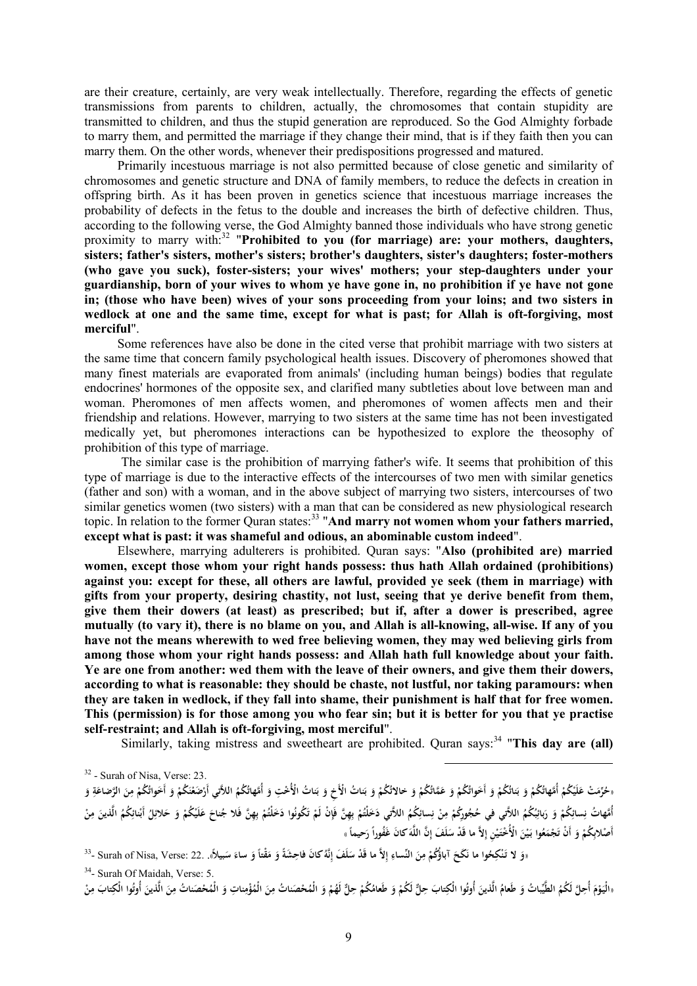are their creature, certainly, are very weak intellectually. Therefore, regarding the effects of genetic transmissions from parents to children, actually, the chromosomes that contain stupidity are transmitted to children, and thus the stupid generation are reproduced. So the God Almighty forbade to marry them, and permitted the marriage if they change their mind, that is if they faith then you can marry them. On the other words, whenever their predispositions progressed and matured.

Primarily incestuous marriage is not also permitted because of close genetic and similarity of chromosomes and genetic structure and DNA of family members, to reduce the defects in creation in offspring birth. As it has been proven in genetics science that incestuous marriage increases the probability of defects in the fetus to the double and increases the birth of defective children. Thus, according to the following verse, the God Almighty banned those individuals who have strong genetic proximity to marry with:<sup>32</sup> "**Prohibited to you (for marriage) are: your mothers, daughters, sisters; father's sisters, mother's sisters; brother's daughters, sister's daughters; foster-mothers (who gave you suck), foster-sisters; your wives' mothers; your step-daughters under your guardianship, born of your wives to whom ye have gone in, no prohibition if ye have not gone in; (those who have been) wives of your sons proceeding from your loins; and two sisters in wedlock at one and the same time, except for what is past; for Allah is oft-forgiving, most merciful**".

Some references have also be done in the cited verse that prohibit marriage with two sisters at the same time that concern family psychological health issues. Discovery of pheromones showed that many finest materials are evaporated from animals' (including human beings) bodies that regulate endocrines' hormones of the opposite sex, and clarified many subtleties about love between man and woman. Pheromones of men affects women, and pheromones of women affects men and their friendship and relations. However, marrying to two sisters at the same time has not been investigated medically yet, but pheromones interactions can be hypothesized to explore the theosophy of prohibition of this type of marriage.

The similar case is the prohibition of marrying father's wife. It seems that prohibition of this type of marriage is due to the interactive effects of the intercourses of two men with similar genetics (father and son) with a woman, and in the above subject of marrying two sisters, intercourses of two similar genetics women (two sisters) with a man that can be considered as new physiological research topic. In relation to the former Quran states:<sup>33</sup> "And marry not women whom your fathers married, **except what is past: it was shameful and odious, an abominable custom indeed**".

Elsewhere, marrying adulterers is prohibited. Quran says: "**Also (prohibited are) married women, except those whom your right hands possess: thus hath Allah ordained (prohibitions) against you: except for these, all others are lawful, provided ye seek (them in marriage) with gifts from your property, desiring chastity, not lust, seeing that ye derive benefit from them, give them their dowers (at least) as prescribed; but if, after a dower is prescribed, agree**  mutually (to vary it), there is no blame on you, and Allah is all-knowing, all-wise. If any of you **have not the means wherewith to wed free believing women, they may wed believing girls from among those whom your right hands possess: and Allah hath full knowledge about your faith. Ye are one from another: wed them with the leave of their owners, and give them their dowers, according to what is reasonable: they should be chaste, not lustful, nor taking paramours: when they are taken in wedlock, if they fall into shame, their punishment is half that for free women.**  This (permission) is for those among you who fear sin; but it is better for you that ve practise **self-restraint; and Allah is oft-forgiving, most merciful**".

Similarly, taking mistress and sweetheart are prohibited. Quran says:<sup>34</sup> "This day are (all)

l

«حُرِّمَتْ عَلَيْكُمْ أُمَّهاتُكُمْ وَ أَخَواتُكُمْ وَ عَمَّاتُكُمْ وَ حَالاتُكُمْ وَ بَناتُ الْأَخِ وَ بَناتُ الْأُخْتِ وَ أُمَّهاتُكُمْ اللاَّتي أَرْضَغْنَكُمْ وَ أَخَواتُكُمْ مِنَ الرَّضاعَةِ وَ **ٔ ب َ َ ب َ ْ ْ َ ْ َ ْ ٔ ب َ ْ ْ ْ َ ت َ ِ َ ِ ْ َ ْ ْ** أُمَّهاتُ نِسائِكُمْ وَ رَبائِبُكُمُ اللَّتِي في حُجُورِكُمْ مِنْ نِسائِكُمُ اللاَّتي دَخَلْتُمْ بِهِنَّ فَإِنْ لَمْ تَكُونُوا دَخَلْتُمْ بِهِنَّ فَلا جُناحَ عَلَيْكُمْ وَ حَلائِلُ أَبْنائِكُمْ الَّذينَ مِنْ **ِ َ َ ْ ِ ِ ن ْ ِ ْ ِ ْ ْ َ َ ب ْ ت ْ ِ ب ْ ْ ِ َ ِ ً** أَصْلابِكُمْ وَ أَنْ تَجْمَعُوا بَيْنَ الْأُخْتَيْنِ إِلاَّ ما قَدْ سَلَفَ إِنَّ اللَّهَ كانَ غَفُوراً رَحيماً » **َ ْ َ َ َ َ َ ْ ِ**

«وَ لا تَنْكِحُوا ما نَكَحَ آباؤُكُمْ مِنَ النِّساءِ إِلاَّ ما قَدْ سَلَفَ إِنَّهُ كانَ فاحِشَةً وَ مَقْتاً وَ ساءَ سَبيلاً». .22 :Surah of Nisa, Verse -**ِ َ إ ِ َ ِ ْ َ َ َ َ َ ِ**

34 - Surah Of Maidah, Verse: 5.

«الْيَوْمَ أُحِلَّ لَكُمُ الطَّيِّباتُ وَ طَعامُ الَّذينَ أُوتُوا الْكِتابَ حِلٌّ لَكُمْ وَ طَعامُكُمْ حِلٌّ لَهُمْ وَ الْمُحْصَناتُ مِنَ الْمُؤْمِناتِ وَ الْمُحْصَناتُ مِنَ الْمُؤْمِناتِ وَ الْمُحْصَناتُ مِنْ الْمُؤْمِنا **َ ْ َ ْ َ َ َ ْ َ َ َ ِ َ َ ِ ِ**

<sup>32</sup> - Surah of Nisa, Verse: 23.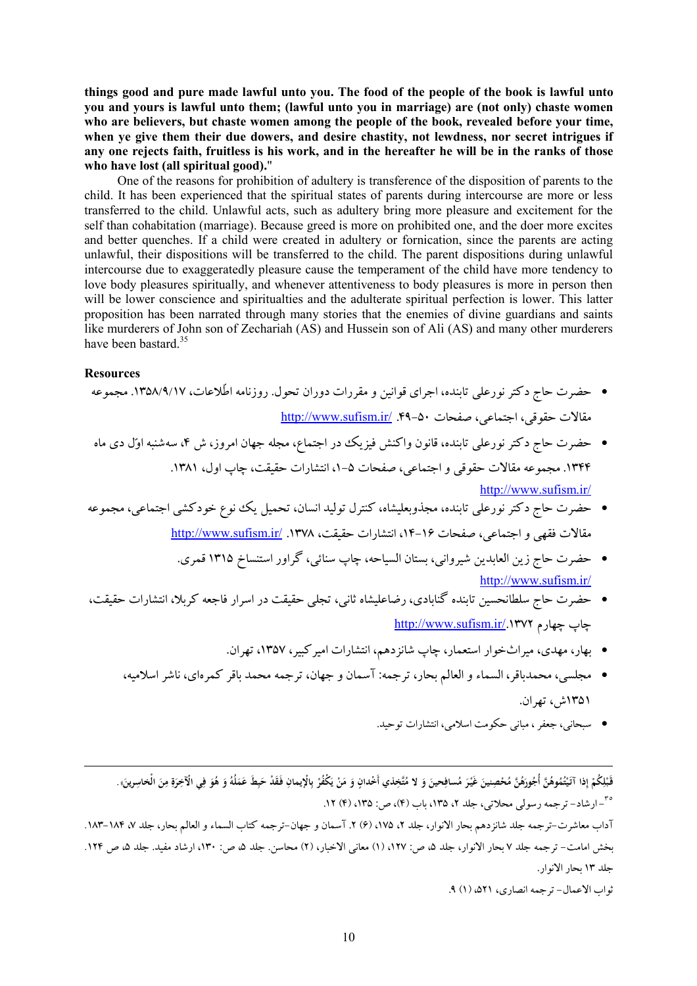things good and pure made lawful unto you. The food of the people of the book is lawful unto **you and yours is lawful unto them; (lawful unto you in marriage) are (not only) chaste women who are believers, but chaste women among the people of the book, revealed before your time, when ye give them their due dowers, and desire chastity, not lewdness, nor secret intrigues if**  any one rejects faith, fruitless is his work, and in the hereafter he will be in the ranks of those **who have lost (all spiritual good).**"

One of the reasons for prohibition of adultery is transference of the disposition of parents to the child. It has been experienced that the spiritual states of parents during intercourse are more or less transferred to the child. Unlawful acts, such as adultery bring more pleasure and excitement for the self than cohabitation (marriage). Because greed is more on prohibited one, and the doer more excites and better quenches. If a child were created in adultery or fornication, since the parents are acting unlawful, their dispositions will be transferred to the child. The parent dispositions during unlawful intercourse due to exaggeratedly pleasure cause the temperament of the child have more tendency to love body pleasures spiritually, and whenever attentiveness to body pleasures is more in person then will be lower conscience and spiritualties and the adulterate spiritual perfection is lower. This latter proposition has been narrated through many stories that the enemies of divine guardians and saints like murderers of John son of Zechariah (AS) and Hussein son of Ali (AS) and many other murderers have been bastard.<sup>35</sup>

#### **Resources**

l

· حضرت حاج دکترنورعلی تابنده، اجراي قوانین و مقررات دوران تحول. روزنامه اطّلاعات، .1358/9/17 مجموعه مقالات حقوقی، اجتماعی، صفحات -50 .49 [/ir.sufism.www://http](http://www.sufism.ir/) · حضرت حاج دکترنورعلی تابنده، قانون واکنش فیزیک در اجتماع، مجله جهان امروز، ش ،4 سهشنبه اول دى ماه .1344 مجموعه مقالات حقوقی و اجتماعی، صفحات -5 ،1 انتشارات حقیقت، چاپ اول، .1381 <http://www.sufism.ir/>

· حضرت حاج دکترنورعلی تابنده، مجذوبعلیشاه، کنترل تولید انسان، تحمیل یک نوع خودکشی اجتماعی، مجموعه مقالات فقهی و اجتماعی، صفحات ،14-16 انتشارات حقیقت، .1378 [/ir.sufism.www://http](http://www.sufism.ir/)

· حضرت حاج زین العابدین شیروانی، بستان السیاحه، چاپ سنائی، گراور استنساخ 1315 قمري. http:/[/www.sufism.ir/](http://www.sufism.ir/)

- · حضرت حاج سلطانحسین تابنده گنابادي، رضاعلیشاه ثانی، تجلی حقیقت در اسرار فاجعه کربلا، انتشارات حقیقت، <http://www.sufism.ir/>.1372 چهارم چاپ
	- · بهار، مهدي، میراثخوار استعمار، چاپ شانزدهم، انتشارات امیرکبیر، ،1357 تهران.
	- · مجلسی، محمدباقر، السماء و العالم بحار، ترجمه: آسمان و جهان، ترجمه محمد باقر کمرهاى، ناشراسلامیه، 1351ش، تهران.
		- · سبحانی، جعفر، مبانی حکومت اسلامی، انتشارات توحید.

قَبْلِكُمْ إِذا آتَيْتُمُوهُنَّ أَجُورَهُنَّ مُحْصِنِينَ غَيْرَ مُسافِحينَ وَ لا مُتَّخِذي أَخْدانٍ وَ مَنْ يَكْفُرْ بِالْإيمانِ فَقَدْ حَبِطَ عَمَلُهُ وَ هُوَ فِي الْآخِرَةِ مِنَ الْخاسِرينَ». **ِ ب ْ َ ي ْ َ َ َ َ ْ َ ْ ِ ْ َ َ ِ ِ َ ِ َ َ َ ِ َ ِ** ٣٥ - ارشاد- ترجمه رسولى محلاتى، جلد ،2 ،135 باب (4)، ص: ،135 (4) .12

آداب معاشرت-ترجمه جلد شانزدهم بحار الانوار، جلد ٢، ١٧٥، (۶) ٢. آسمان و جهان-ترجمه کتاب السماء و العالم بحار، جلد ٧، ١٨۴-١٨٣. بخش امامت- ترجمه جلد ٧ بحار الانوار، جلد ۵، ص: ١٢٧، (١) معانى الاخبار، (٢) محاسن. جلد ۵، ص: ١٣٠، ارشاد مفید. جلد ۵، ص ١٢۴. جلد 13 بحار الانوار.

ثواب الاعمال- ترجمه انصارى، ٥٢١، (١) ٩.